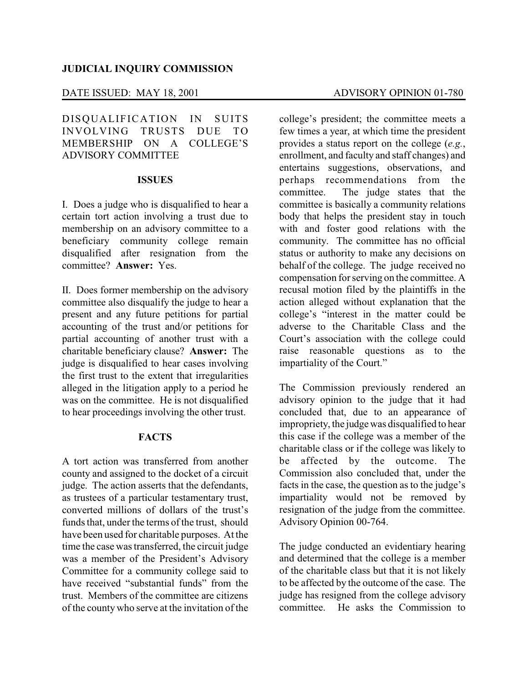## DATE ISSUED: MAY 18, 2001 ADVISORY OPINION 01-780

DISQUALIFICATION IN SUITS INVOLVING TRUSTS DUE TO MEMBERSHIP ON A COLLEGE'S ADVISORY COMMITTEE

## **ISSUES**

I. Does a judge who is disqualified to hear a certain tort action involving a trust due to membership on an advisory committee to a beneficiary community college remain disqualified after resignation from the committee? **Answer:** Yes.

II. Does former membership on the advisory committee also disqualify the judge to hear a present and any future petitions for partial accounting of the trust and/or petitions for partial accounting of another trust with a charitable beneficiary clause? **Answer:** The judge is disqualified to hear cases involving the first trust to the extent that irregularities alleged in the litigation apply to a period he was on the committee. He is not disqualified to hear proceedings involving the other trust.

# **FACTS**

A tort action was transferred from another county and assigned to the docket of a circuit judge. The action asserts that the defendants, as trustees of a particular testamentary trust, converted millions of dollars of the trust's funds that, under the terms of the trust, should have been used for charitable purposes. At the time the case was transferred, the circuit judge was a member of the President's Advisory Committee for a community college said to have received "substantial funds" from the trust. Members of the committee are citizens of the county who serve at the invitation of the

college's president; the committee meets a few times a year, at which time the president provides a status report on the college (*e.g.*, enrollment, and faculty and staff changes) and entertains suggestions, observations, and perhaps recommendations from the committee. The judge states that the committee is basically a community relations body that helps the president stay in touch with and foster good relations with the community. The committee has no official status or authority to make any decisions on behalf of the college. The judge received no compensation for serving on the committee. A recusal motion filed by the plaintiffs in the action alleged without explanation that the college's "interest in the matter could be adverse to the Charitable Class and the Court's association with the college could raise reasonable questions as to the impartiality of the Court."

The Commission previously rendered an advisory opinion to the judge that it had concluded that, due to an appearance of impropriety, the judge was disqualified to hear this case if the college was a member of the charitable class or if the college was likely to be affected by the outcome. The Commission also concluded that, under the facts in the case, the question as to the judge's impartiality would not be removed by resignation of the judge from the committee. Advisory Opinion 00-764.

The judge conducted an evidentiary hearing and determined that the college is a member of the charitable class but that it is not likely to be affected by the outcome of the case. The judge has resigned from the college advisory committee. He asks the Commission to